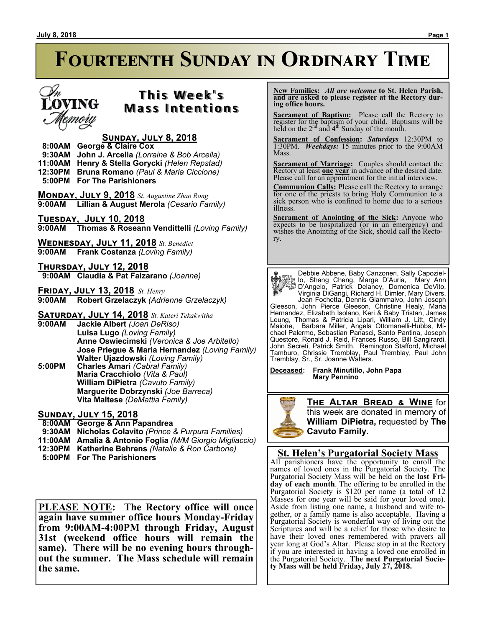#### **July 8, 2018 \_\_\_ \_\_\_\_\_\_Page 1**

# **Fourteenth Sunday in Ordinary Time**



### **T h i s We e k ' s Mass Intentions**

### **Sunday, July 8, 2018**

 **8:00AM George & Claire Cox 9:30AM John J. Arcella** *(Lorraine & Bob Arcella)*

**11:00AM Henry & Stella Gorycki** *(Helen Repstad)*

**12:30PM Bruna Romano** *(Paul & Maria Ciccione)*

 **5:00PM For The Parishioners**

**Monday, July 9, 2018** *St. Augustine Zhao Rong* **9:00AM Lillian & August Merola** *(Cesario Family)*

**Tuesday, July 10, 2018 9:00AM Thomas & Roseann Vendittelli** *(Loving Family)*

**Wednesday, July 11, 2018** *St. Benedict* **9:00AM Frank Costanza** *(Loving Family)*

**Thursday, July 12, 2018 9:00AM Claudia & Pat Falzarano** *(Joanne)*

**Friday, July 13, 2018** *St. Henry* **9:00AM Robert Grzelaczyk** *(Adrienne Grzelaczyk)*

**Saturday, July 14, 2018** *St. Kateri Tekakwitha*

- **9:00AM Jackie Albert** *(Joan DeRiso)* **Luisa Lugo** *(Loving Family)* **Anne Oswiecimski** *(Veronica & Joe Arbitello)* **Jose Priegue & Maria Hernandez** *(Loving Family)* **Walter Ujazdowski** *(Loving Family)*
- **5:00PM Charles Amari** *(Cabral Family)* **Maria Cracchiolo** *(Vita & Paul)* **William DiPietra** *(Cavuto Family)* **Marguerite Dobrzynski** *(Joe Barreca)* **Vita Maltese** *(DeMattia Family)*

**Sunday, July 15, 2018**

 **8:00AM George & Ann Papandrea**

- **9:30AM Nicholas Colavito** *(Prince & Purpura Families)*
- **11:00AM Amalia & Antonio Foglia** *(M/M Giorgio Migliaccio)*
- **12:30PM Katherine Behrens** *(Natalie & Ron Carbone)*
- 

**PLEASE NOTE: The Rectory office will once again have summer office hours Monday-Friday from 9:00AM-4:00PM through Friday, August 31st (weekend office hours will remain the same). There will be no evening hours throughout the summer. The Mass schedule will remain the same.**

 **New Families:** *All are welcome* **to St. Helen Parish, and are asked to please register at the Rectory during office hours.**

**Sacrament of Baptism:**Please call the Rectory to register for the baptism of your child. Baptisms will be held on the  $2<sup>nd</sup>$  and  $4<sup>th</sup>$  Sunday of the month.

**Sacrament of Confession:** *Saturdays* 12:30PM to 1:30PM. *Weekdays:* 15 minutes prior to the 9:00AM Mass.

**Sacrament of Marriage:**Couples should contact the Rectory at least **one year** in advance of the desired date. Please call for an appointment for the initial interview.

**Communion Calls:** Please call the Rectory to arrange for one of the priests to bring Holy Communion to a sick person who is confined to home due to a serious illness.

**Sacrament of Anointing of the Sick:** Anyone who expects to be hospitalized (or in an emergency) and wishes the Anointing of the Sick, should call the Rectory.

Debbie Abbene, Baby Canzoneri, Sally Capoziello, Shang Cheng, Marge D'Auria, Mary Ann D'Angelo, Patrick Delaney, Domenica DeVito, Virginia DiGangi, Richard H. Dimler, Mary Divers, Jean Fochetta, Dennis Giammalvo, John Joseph Gleeson, John Pierce Gleeson, Christine Healy, Maria Hernandez, Elizabeth Isolano, Keri & Baby Tristan, James Leung, Thomas & Patricia Lipari, William J. Litt, Cindy Maione, Barbara Miller, Angela Ottomanelli-Hubbs, Michael Palermo, Sebastian Panasci, Santo Pantina, Joseph Questore, Ronald J. Reid, Frances Russo, Bill Sangirardi, John Secreti, Patrick Smith, Remington Stafford, Michael Tamburo, Chrissie Tremblay, Paul Tremblay, Paul John Tremblay, Sr., Sr. Joanne Walters.

**Deceased: Frank Minutillo, John Papa Mary Pennino**



**The Altar Bread & Wine** for this week are donated in memory of **William DiPietra,** requested by **The Cavuto Family.**

### **St. Helen's Purgatorial Society Mass**

All parishioners have the opportunity to enroll the names of loved ones in the Purgatorial Society. The Purgatorial Society Mass will be held on the **last Friday of each month**. The offering to be enrolled in the Purgatorial Society is \$120 per name (a total of 12 Masses for one year will be said for your loved one). Aside from listing one name, a husband and wife together, or a family name is also acceptable. Having a Purgatorial Society is wonderful way of living out the Scriptures and will be a relief for those who desire to have their loved ones remembered with prayers all year long at God's Altar. Please stop in at the Rectory if you are interested in having a loved one enrolled in the Purgatorial Society. **The next Purgatorial Society Mass will be held Friday, July 27, 2018.**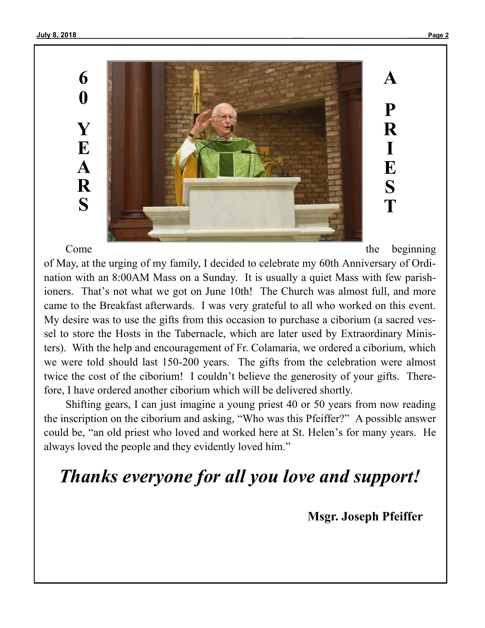**6 0 Y E A R S**



Come the beginning

**A**

**P**

**R**

**I**

**E**

**S**

**T**

of May, at the urging of my family, I decided to celebrate my 60th Anniversary of Ordination with an 8:00AM Mass on a Sunday. It is usually a quiet Mass with few parishioners. That's not what we got on June 10th! The Church was almost full, and more came to the Breakfast afterwards. I was very grateful to all who worked on this event. My desire was to use the gifts from this occasion to purchase a ciborium (a sacred vessel to store the Hosts in the Tabernacle, which are later used by Extraordinary Ministers). With the help and encouragement of Fr. Colamaria, we ordered a ciborium, which we were told should last 150-200 years. The gifts from the celebration were almost twice the cost of the ciborium! I couldn't believe the generosity of your gifts. Therefore, I have ordered another ciborium which will be delivered shortly.

Shifting gears, I can just imagine a young priest 40 or 50 years from now reading the inscription on the ciborium and asking, "Who was this Pfeiffer?" A possible answer could be, "an old priest who loved and worked here at St. Helen's for many years. He always loved the people and they evidently loved him."

## *Thanks everyone for all you love and support!*

 **Msgr. Joseph Pfeiffer**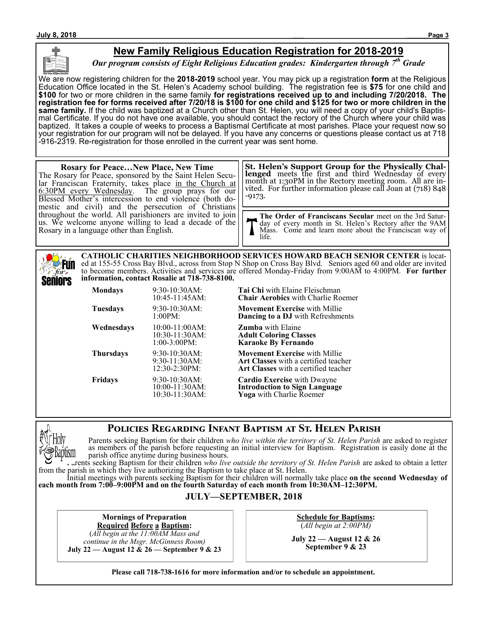

### **New Family Religious Education Registration for 2018-2019**

*Our program consists of Eight Religious Education grades: Kindergarten through 7th Grade*

We are now registering children for the **2018-2019** school year. You may pick up a registration **form** at the Religious Education Office located in the St. Helen's Academy school building. The registration fee is **\$75** for one child and **\$100** for two or more children in the same family **for registrations received up to and including 7/20/2018. The registration fee for forms received after 7/20/18 is \$100 for one child and \$125 for two or more children in the same family.** If the child was baptized at a Church other than St. Helen, you will need a copy of your child's Baptismal Certificate. If you do not have one available, you should contact the rectory of the Church where your child was baptized. It takes a couple of weeks to process a Baptismal Certificate at most parishes. Place your request now so your registration for our program will not be delayed. If you have any concerns or questions please contact us at 718 -916-2319. Re-registration for those enrolled in the current year was sent home.

#### **Rosary for Peace…New Place, New Time** The Rosary for Peace, sponsored by the Saint Helen Secular Franciscan Fraternity, takes place in the Church at 6:30PM every Wednesday. The group prays for our Blessed Mother's intercession to end violence (both domestic and civil) and the persecution of Christians throughout the world. All parishioners are invited to join us. We welcome anyone willing to lead a decade of the Rosary in a language other than English. -9173.

**St. Helen's Support Group for the Physically Challenged** meets the first and third Wednesday of every month at 1:30PM in the Rectory meeting room. All are invited. For further information please call Joan at (718) 848

**The Order of Franciscans Secular** meet on the 3rd Saturday of every month in St. Helen's Rectory after the 9AM Mass. Come and learn more about the Franciscan way of life.

**Fun** for. Seniors

**CATHOLIC CHARITIES NEIGHBORHOOD SERVICES HOWARD BEACH SENIOR CENTER** is located at 155-55 Cross Bay Blvd., across from Stop N Shop on Cross Bay Blvd. Seniors aged 60 and older are invited to become members. Activities and services are offered Monday-Friday from 9:00AM to 4:00PM. **For further information, contact Rosalie at 718-738-8100.**

| <b>Mondays</b>   | 9:30-10:30AM:<br>10:45-11:45AM:                           | Tai Chi with Elaine Fleischmai<br><b>Chair Aerobics</b> with Charlie R                                      |  |
|------------------|-----------------------------------------------------------|-------------------------------------------------------------------------------------------------------------|--|
| <b>Tuesdays</b>  | $9:30-10:30AM$ :<br>1:00PM:                               | <b>Movement Exercise</b> with Milli<br><b>Dancing to a DJ</b> with Refreshr                                 |  |
| Wednesdays       | $10:00-11:00AM$ :<br>$10:30-11:30AM$ :<br>$1:00-3:00PM$ : | <b>Zumba</b> with Elaine<br><b>Adult Coloring Classes</b><br><b>Karaoke By Fernando</b>                     |  |
| <b>Thursdays</b> | $9:30-10:30AM$ :<br>$9:30-11:30AM$<br>12:30-2:30PM:       | <b>Movement Exercise with Milli</b><br>Art Classes with a certified tea<br>Art Classes with a certified tea |  |
| <b>Fridays</b>   | $9:30-10:30AM$ :<br>$10:00-11:30AM$ :<br>10:30-11:30AM:   | <b>Cardio Exercise</b> with Dwayne<br><b>Introduction to Sign Languag</b><br>Yoga with Charlie Roemer       |  |

**Mondays** 9:30-10:30AM: **Tai Chi** with Elaine Fleischman **Chair Aerobics** with Charlie Roemer

> **Movement Exercise** with Millie **Dancing to a DJ** with Refreshments

**Movement Exercise** with Millie Art Classes with a certified teacher **Art Classes** with a certified teacher

**Introduction to Sign Language Yoga** with Charlie Roemer

### **Policies Regarding Infant Baptism at St. Helen Parish**



Parents seeking Baptism for their children *who live within the territory of St. Helen Parish* are asked to register as members of the parish before requesting an initial interview for Baptism. Registration is easily done at the parish office anytime during business hours.

Parents seeking Baptism for their children *who live outside the territory of St. Helen Parish* are asked to obtain a letter from the parish in which they live authorizing the Baptism to take place at St. Helen.

Initial meetings with parents seeking Baptism for their children will normally take place **on the second Wednesday of each month from 7:00–9:00PM and on the fourth Saturday of each month from 10:30AM–12:30PM.**

### **JULY—SEPTEMBER, 2018**

**Mornings of Preparation**

**Required Before a Baptism:** (*All begin at the 11:00AM Mass and continue in the Msgr. McGinness Room)* **July 22 — August 12 & 26 — September 9 & 23** **Schedule for Baptisms:** (*All begin at 2:00PM)*

**July 22 — August 12 & 26 September 9 & 23**

**Please call 718-738-1616 for more information and/or to schedule an appointment.**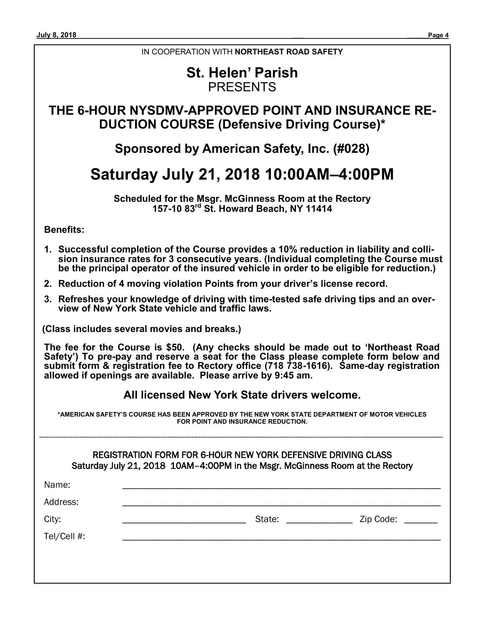### IN COOPERATION WITH **NORTHEAST ROAD SAFETY**

### **St. Helen' Parish** PRESENTS

### **THE 6-HOUR NYSDMV-APPROVED POINT AND INSURANCE RE-DUCTION COURSE (Defensive Driving Course)\***

### **Sponsored by American Safety, Inc. (#028)**

### **Saturday July 21, 2018 10:00AM–4:00PM**

**Scheduled for the Msgr. McGinness Room at the Rectory 157-10 83rd St. Howard Beach, NY 11414**

**Benefits:**

- **1. Successful completion of the Course provides a 10% reduction in liability and collision insurance rates for 3 consecutive years. (Individual completing the Course must be the principal operator of the insured vehicle in order to be eligible for reduction.)**
- **2. Reduction of 4 moving violation Points from your driver's license record.**
- **3. Refreshes your knowledge of driving with time-tested safe driving tips and an overview of New York State vehicle and traffic laws.**

**(Class includes several movies and breaks.)**

**The fee for the Course is \$50. (Any checks should be made out to 'Northeast Road Safety') To pre-pay and reserve a seat for the Class please complete form below and submit form & registration fee to Rectory office (718 738-1616). Same-day registration allowed if openings are available. Please arrive by 9:45 am.**

### **All licensed New York State drivers welcome.**

**\*AMERICAN SAFETY'S COURSE HAS BEEN APPROVED BY THE NEW YORK STATE DEPARTMENT OF MOTOR VEHICLES FOR POINT AND INSURANCE REDUCTION.**

-----------------------------------------------------------------------------------------------------------------------------------------————————————-

| REGISTRATION FORM FOR 6-HOUR NEW YORK DEFENSIVE DRIVING CLASS                 |  |
|-------------------------------------------------------------------------------|--|
| Saturday July 21, 2018 10AM-4:00PM in the Msgr. McGinness Room at the Rectory |  |

| Name:       |        |                            |
|-------------|--------|----------------------------|
| Address:    |        |                            |
| City:       | State: | Zip Code:<br>$\frac{1}{2}$ |
| Tel/Cell #: |        |                            |
|             |        |                            |
|             |        |                            |